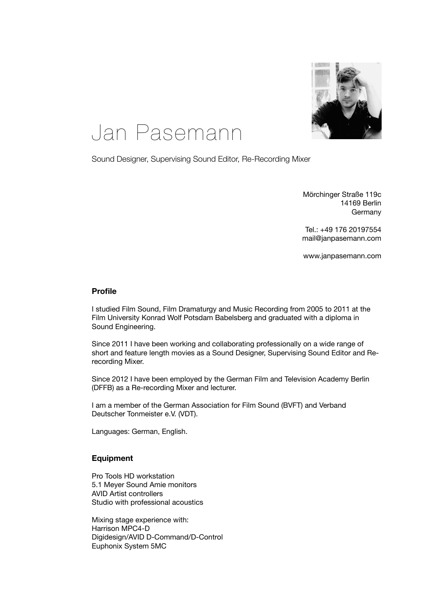

# Jan Pasemann

Sound Designer, Supervising Sound Editor, Re-Recording Mixer

Mörchinger Straße 119c 14169 Berlin **Germany** 

Tel.: +49 176 20197554 [mail@janpasemann.com](mailto:mail@janpasemann.com)

www.janpasemann.com

#### **Profile**

I studied Film Sound, Film Dramaturgy and Music Recording from 2005 to 2011 at the Film University Konrad Wolf Potsdam Babelsberg and graduated with a diploma in Sound Engineering.

Since 2011 I have been working and collaborating professionally on a wide range of short and feature length movies as a Sound Designer, Supervising Sound Editor and Rerecording Mixer.

Since 2012 I have been employed by the German Film and Television Academy Berlin (DFFB) as a Re-recording Mixer and lecturer.

I am a member of the German Association for Film Sound (BVFT) and Verband Deutscher Tonmeister e.V. (VDT).

Languages: German, English.

### **Equipment**

Pro Tools HD workstation 5.1 Meyer Sound Amie monitors AVID Artist controllers Studio with professional acoustics

Mixing stage experience with: Harrison MPC4-D Digidesign/AVID D-Command/D-Control Euphonix System 5MC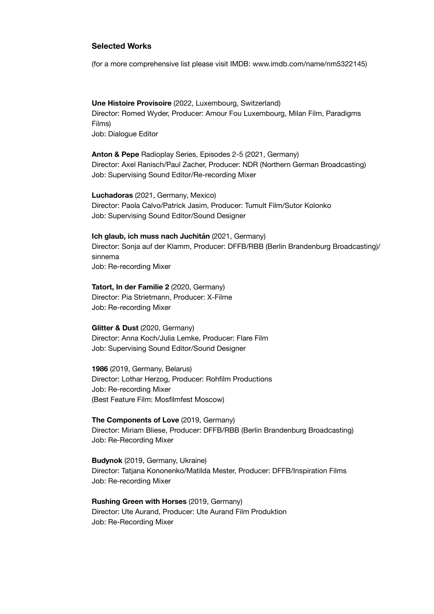## **Selected Works**

(for a more comprehensive list please visit IMDB: [www.imdb.com/name/nm5322145](http://www.imdb.com/name/nm5322145))

**Une Histoire Provisoire** (2022, Luxembourg, Switzerland) Director: Romed Wyder, Producer: Amour Fou Luxembourg, Milan Film, Paradigms Films) Job: Dialogue Editor

**Anton & Pepe** Radioplay Series, Episodes 2-5 (2021, Germany) Director: Axel Ranisch/Paul Zacher, Producer: NDR (Northern German Broadcasting) Job: Supervising Sound Editor/Re-recording Mixer

**Luchadoras** (2021, Germany, Mexico) Director: Paola Calvo/Patrick Jasim, Producer: Tumult Film/Sutor Kolonko Job: Supervising Sound Editor/Sound Designer

**Ich glaub, ich muss nach Juchitán** (2021, Germany) Director: Sonja auf der Klamm, Producer: DFFB/RBB (Berlin Brandenburg Broadcasting)/ sinnema Job: Re-recording Mixer

**Tatort, In der Familie 2** (2020, Germany) Director: Pia Strietmann, Producer: X-Filme Job: Re-recording Mixer

**Glitter & Dust** (2020, Germany) Director: Anna Koch/Julia Lemke, Producer: Flare Film Job: Supervising Sound Editor/Sound Designer

**1986** (2019, Germany, Belarus) Director: Lothar Herzog, Producer: Rohfilm Productions Job: Re-recording Mixer (Best Feature Film: Mosfilmfest Moscow)

**The Components of Love** (2019, Germany) Director: Miriam Bliese, Producer: DFFB/RBB (Berlin Brandenburg Broadcasting) Job: Re-Recording Mixer

**Budynok** (2019, Germany, Ukraine) Director: Tatjana Kononenko/Matilda Mester, Producer: DFFB/Inspiration Films Job: Re-recording Mixer

**Rushing Green with Horses** (2019, Germany) Director: Ute Aurand, Producer: Ute Aurand Film Produktion Job: Re-Recording Mixer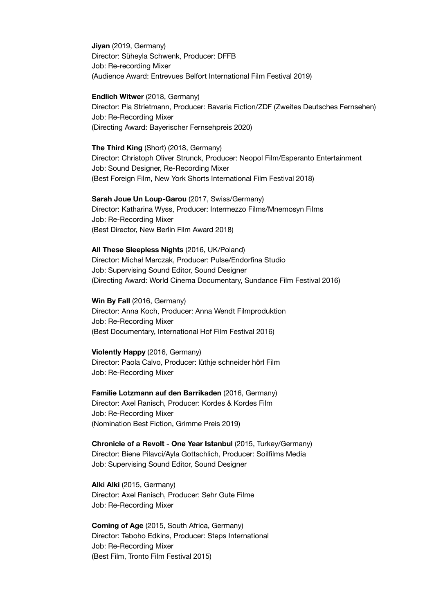**Jiyan** (2019, Germany) Director: Süheyla Schwenk, Producer: DFFB Job: Re-recording Mixer (Audience Award: Entrevues Belfort International Film Festival 2019)

**Endlich Witwer** (2018, Germany) Director: Pia Strietmann, Producer: Bavaria Fiction/ZDF (Zweites Deutsches Fernsehen) Job: Re-Recording Mixer (Directing Award: Bayerischer Fernsehpreis 2020)

**The Third King** (Short) (2018, Germany) Director: Christoph Oliver Strunck, Producer: Neopol Film/Esperanto Entertainment Job: Sound Designer, Re-Recording Mixer (Best Foreign Film, New York Shorts International Film Festival 2018)

**Sarah Joue Un Loup-Garou** (2017, Swiss/Germany) Director: Katharina Wyss, Producer: Intermezzo Films/Mnemosyn Films Job: Re-Recording Mixer (Best Director, New Berlin Film Award 2018)

#### **All These Sleepless Nights** (2016, UK/Poland)

Director: Michał Marczak, Producer: Pulse/Endorfina Studio Job: Supervising Sound Editor, Sound Designer (Directing Award: World Cinema Documentary, Sundance Film Festival 2016)

**Win By Fall** (2016, Germany)

Director: Anna Koch, Producer: Anna Wendt Filmproduktion Job: Re-Recording Mixer (Best Documentary, International Hof Film Festival 2016)

**Violently Happy** (2016, Germany)

Director: Paola Calvo, Producer: lüthje schneider hörl Film Job: Re-Recording Mixer

**Familie Lotzmann auf den Barrikaden** (2016, Germany) Director: Axel Ranisch, Producer: Kordes & Kordes Film Job: Re-Recording Mixer (Nomination Best Fiction, Grimme Preis 2019)

**Chronicle of a Revolt - One Year Istanbul** (2015, Turkey/Germany) Director: Biene Pilavci/Ayla Gottschlich, Producer: Soilfilms Media Job: Supervising Sound Editor, Sound Designer

**Alki Alki** (2015, Germany) Director: Axel Ranisch, Producer: Sehr Gute Filme Job: Re-Recording Mixer

**Coming of Age** (2015, South Africa, Germany) Director: Teboho Edkins, Producer: Steps International Job: Re-Recording Mixer (Best Film, Tronto Film Festival 2015)